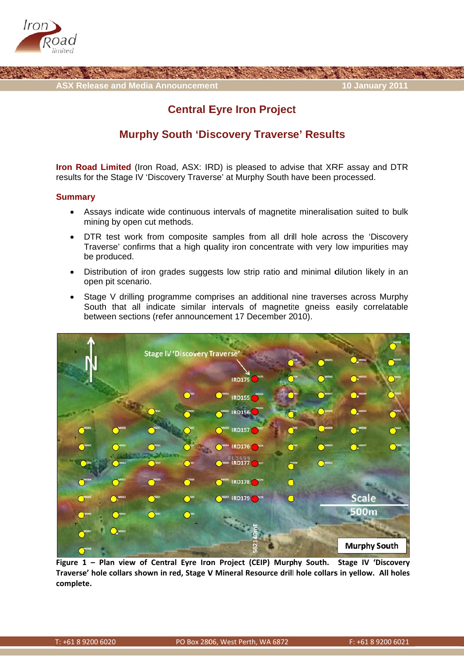

**ASX Release and Media Announcement** 

## **10 January 2011**

# **Central Eyre Iron Project**

## **Murphy South 'Discovery Traverse' Results**

Iron Road Limited (Iron Road, ASX: IRD) is pleased to advise that XRF assay and DTR results for the Stage IV 'Discovery Traverse' at Murphy South have been processed.

### **Summary**

- Assays indicate wide continuous intervals of magnetite mineralisation suited to bulk  $\bullet$ mining by open cut methods.
- DTR test work from composite samples from all drill hole across the 'Discovery'  $\bullet$ Traverse' confirms that a high quality iron concentrate with very low impurities may be produced.
- Distribution of iron grades suggests low strip ratio and minimal dilution likely in an open pit scenario.
- Stage V drilling programme comprises an additional nine traverses across Murphy  $\bullet$ South that all indicate similar intervals of magnetite gneiss easily correlatable between sections (refer announcement 17 December 2010).



Figure 1 - Plan view of Central Eyre Iron Project (CEIP) Murphy South. Stage IV 'Discovery Traverse' hole collars shown in red, Stage V Mineral Resource drill hole collars in yellow. All holes complete.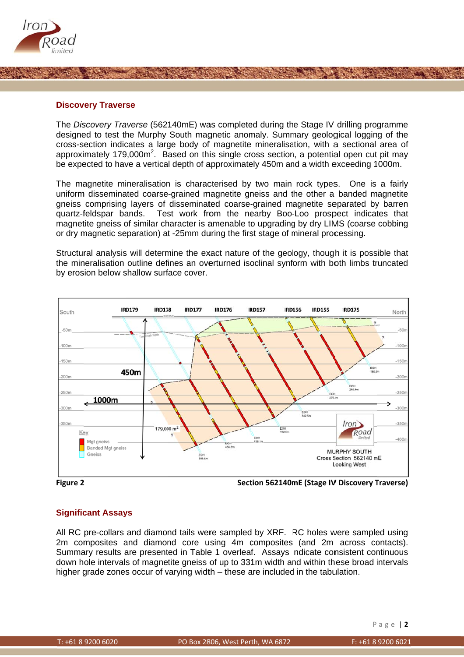

### **Discovery Traverse**

The Discovery Traverse (562140mE) was completed during the Stage IV drilling programme designed to test the Murphy South magnetic anomaly. Summary geological logging of the cross-section indicates a large body of magnetite mineralisation, with a sectional area of approximately 179,000m<sup>2</sup>. Based on this single cross section, a potential open cut pit may be expected to have a vertical depth of approximately 450m and a width exceeding 1000m.

The magnetite mineralisation is characterised by two main rock types. One is a fairly uniform disseminated coarse-grained magnetite gneiss and the other a banded magnetite gneiss comprising layers of disseminated coarse-grained magnetite separated by barren quartz-feldspar bands. Test work from the nearby Boo-Loo prospect indicates that magnetite gneiss of similar character is amenable to upgrading by dry LIMS (coarse cobbing or dry magnetic separation) at -25mm during the first stage of mineral processing.

Structural analysis will determine the exact nature of the geology, though it is possible that the mineralisation outline defines an overturned isoclinal synform with both limbs truncated by erosion below shallow surface cover.





Section 562140mE (Stage IV Discovery Traverse)

### **Significant Assays**

All RC pre-collars and diamond tails were sampled by XRF. RC holes were sampled using 2m composites and diamond core using 4m composites (and 2m across contacts). Summary results are presented in Table 1 overleaf. Assays indicate consistent continuous down hole intervals of magnetite gneiss of up to 331m width and within these broad intervals higher grade zones occur of varying width – these are included in the tabulation.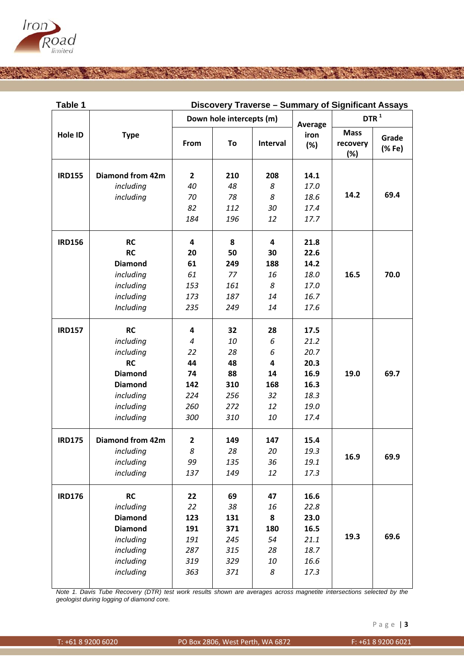

| Table 1       |                         | Discovery Traverse - Summary of Significant Assays |                          |          |                        |                                |                 |  |  |  |
|---------------|-------------------------|----------------------------------------------------|--------------------------|----------|------------------------|--------------------------------|-----------------|--|--|--|
|               | <b>Type</b>             |                                                    | Down hole intercepts (m) |          | Average<br>iron<br>(%) | DTR <sup>1</sup>               |                 |  |  |  |
| Hole ID       |                         | From                                               | To                       | Interval |                        | <b>Mass</b><br>recovery<br>(%) | Grade<br>(% Fe) |  |  |  |
| <b>IRD155</b> | <b>Diamond from 42m</b> | $\overline{2}$                                     | 210                      | 208      | 14.1                   |                                |                 |  |  |  |
|               | including               | 40                                                 | 48                       | 8        | 17.0                   |                                |                 |  |  |  |
|               | including               | 70                                                 | 78                       | 8        | 18.6                   | 14.2                           | 69.4            |  |  |  |
|               |                         | 82                                                 | 112                      | 30       | 17.4                   |                                |                 |  |  |  |
|               |                         | 184                                                | 196                      | 12       | 17.7                   |                                |                 |  |  |  |
| <b>IRD156</b> | <b>RC</b>               | $\overline{\mathbf{4}}$                            | 8                        | 4        | 21.8                   |                                |                 |  |  |  |
|               | <b>RC</b>               | 20                                                 | 50                       | 30       | 22.6                   |                                |                 |  |  |  |
|               | <b>Diamond</b>          | 61                                                 | 249                      | 188      | 14.2                   |                                |                 |  |  |  |
|               | including               | 61                                                 | 77                       | 16       | 18.0                   | 16.5                           | 70.0            |  |  |  |
|               | including               | 153                                                | 161                      | 8        | 17.0                   |                                |                 |  |  |  |
|               | including               | 173                                                | 187                      | 14       | 16.7                   |                                |                 |  |  |  |
|               | Including               | 235                                                | 249                      | 14       | 17.6                   |                                |                 |  |  |  |
| <b>IRD157</b> | <b>RC</b>               | 4                                                  | 32                       | 28       | 17.5                   |                                |                 |  |  |  |
|               | including               | $\boldsymbol{4}$                                   | 10                       | 6        | 21.2                   |                                |                 |  |  |  |
|               | including               | 22                                                 | 28                       | 6        | 20.7                   |                                |                 |  |  |  |
|               | <b>RC</b>               | 44                                                 | 48                       | 4        | 20.3                   |                                |                 |  |  |  |
|               | <b>Diamond</b>          | 74                                                 | 88                       | 14       | 16.9                   | 19.0                           | 69.7            |  |  |  |
|               | <b>Diamond</b>          | 142                                                | 310                      | 168      | 16.3                   |                                |                 |  |  |  |
|               | including               | 224                                                | 256                      | 32       | 18.3                   |                                |                 |  |  |  |
|               | including               | 260                                                | 272                      | 12       | 19.0                   |                                |                 |  |  |  |
|               | including               | 300                                                | 310                      | 10       | 17.4                   |                                |                 |  |  |  |
| <b>IRD175</b> | <b>Diamond from 42m</b> | $\mathbf{2}$                                       | 149                      | 147      | 15.4                   |                                |                 |  |  |  |
|               | including               | 8                                                  | 28                       | 20       | 19.3                   | 16.9                           | 69.9            |  |  |  |
|               | including               | 99                                                 | 135                      | 36       | 19.1                   |                                |                 |  |  |  |
|               | including               | 137                                                | 149                      | 12       | 17.3                   |                                |                 |  |  |  |
| <b>IRD176</b> | <b>RC</b>               | 22                                                 | 69                       | 47       | 16.6                   |                                |                 |  |  |  |
|               | including               | 22                                                 | 38                       | 16       | 22.8                   |                                |                 |  |  |  |
|               | <b>Diamond</b>          | 123                                                | 131                      | 8        | 23.0                   |                                |                 |  |  |  |
|               | <b>Diamond</b>          | 191                                                | 371                      | 180      | 16.5                   |                                |                 |  |  |  |
|               | including               | 191                                                | 245                      | 54       | 21.1                   | 19.3                           | 69.6            |  |  |  |
|               | including               | 287                                                | 315                      | 28       | 18.7                   |                                |                 |  |  |  |
|               | including               | 319                                                | 329                      | 10       | 16.6                   |                                |                 |  |  |  |
|               | including               | 363                                                | 371                      | 8        | 17.3                   |                                |                 |  |  |  |

*Note 1. D geologist d Davis Tube Rec during logging o covery (DTR) te of diamond core est work results e. s* shown are averages across magnetite intersections selected by the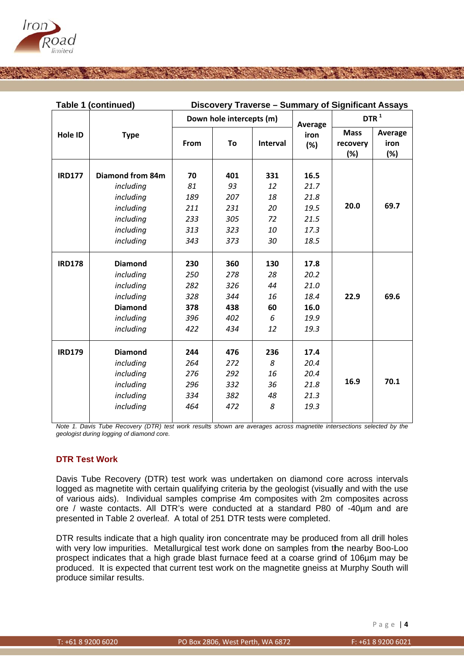

| Table 1 (continued) |                  | Discovery Traverse - Summary of Significant Assays |                          |          |         |                  |         |  |
|---------------------|------------------|----------------------------------------------------|--------------------------|----------|---------|------------------|---------|--|
|                     |                  |                                                    | Down hole intercepts (m) |          | Average | DTR <sup>1</sup> |         |  |
| Hole ID             | <b>Type</b>      |                                                    |                          |          | iron    | <b>Mass</b>      | Average |  |
|                     |                  | From                                               | To                       | Interval | (%)     | recovery         | iron    |  |
|                     |                  |                                                    |                          |          |         | (%)              | (%)     |  |
|                     |                  |                                                    |                          |          |         |                  |         |  |
| <b>IRD177</b>       | Diamond from 84m | 70                                                 | 401                      | 331      | 16.5    |                  |         |  |
|                     | including        | 81                                                 | 93                       | 12       | 21.7    |                  | 69.7    |  |
|                     | including        | 189                                                | 207                      | 18       | 21.8    |                  |         |  |
|                     | including        | 211                                                | 231                      | 20       | 19.5    | 20.0             |         |  |
|                     | including        | 233                                                | 305                      | 72       | 21.5    |                  |         |  |
|                     | including        | 313                                                | 323                      | 10       | 17.3    |                  |         |  |
|                     | including        | 343                                                | 373                      | 30       | 18.5    |                  |         |  |
|                     |                  |                                                    |                          |          |         |                  |         |  |
| <b>IRD178</b>       | <b>Diamond</b>   | 230                                                | 360                      | 130      | 17.8    |                  |         |  |
|                     | including        | 250                                                | 278                      | 28       | 20.2    |                  |         |  |
|                     | including        | 282                                                | 326                      | 44       | 21.0    |                  |         |  |
|                     | including        | 328                                                | 344                      | 16       | 18.4    | 22.9             | 69.6    |  |
|                     | <b>Diamond</b>   | 378                                                | 438                      | 60       | 16.0    |                  |         |  |
|                     | including        | 396                                                | 402                      | 6        | 19.9    |                  |         |  |
|                     | including        | 422                                                | 434                      | 12       | 19.3    |                  |         |  |
| <b>IRD179</b>       | <b>Diamond</b>   | 244                                                | 476                      | 236      | 17.4    |                  |         |  |
|                     |                  |                                                    |                          |          |         |                  |         |  |
|                     | including        | 264                                                | 272                      | 8        | 20.4    |                  |         |  |
|                     | including        | 276                                                | 292                      | 16       | 20.4    | 16.9             | 70.1    |  |
|                     | including        | 296                                                | 332                      | 36       | 21.8    |                  |         |  |
|                     | including        | 334                                                | 382                      | 48       | 21.3    |                  |         |  |
|                     | including        | 464                                                | 472                      | 8        | 19.3    |                  |         |  |
|                     |                  |                                                    |                          |          |         |                  |         |  |

*Note 1. Davis Tube Recovery (DTR) test work results shown are averages across magnetite intersections selected by the geologist during logging of diamond core.* 

### **DTR Test Work**

Davis Tube Recovery (DTR) test work was undertaken on diamond core across intervals logged as magnetite with certain qualifying criteria by the geologist (visually and with the use of various aids). Individual samples comprise 4m composites with 2m composites across ore / waste contacts. All DTR's were conducted at a standard P80 of -40µm and are presented in Table 2 overleaf. A total of 251 DTR tests were completed.

DTR results indicate that a high quality iron concentrate may be produced from all drill holes with very low impurities. Metallurgical test work done on samples from the nearby Boo-Loo prospect indicates that a high grade blast furnace feed at a coarse grind of 106µm may be produced. It is expected that current test work on the magnetite gneiss at Murphy South will produce similar results.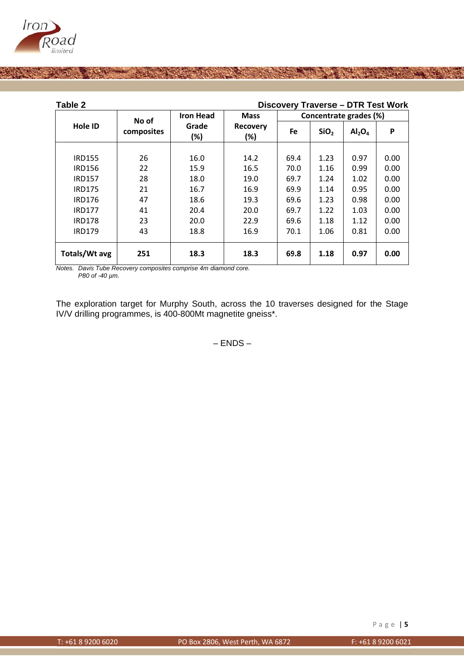

| Table 2       |                     | <b>Discovery Traverse - DTR Test Work</b> |                        |                        |                  |                                |      |
|---------------|---------------------|-------------------------------------------|------------------------|------------------------|------------------|--------------------------------|------|
|               | No of<br>composites | <b>Iron Head</b>                          | <b>Mass</b>            | Concentrate grades (%) |                  |                                |      |
| Hole ID       |                     | Grade<br>(%)                              | <b>Recovery</b><br>(%) | Fe                     | SiO <sub>2</sub> | Al <sub>2</sub> O <sub>4</sub> | P    |
|               |                     |                                           |                        |                        |                  |                                |      |
| <b>IRD155</b> | 26                  | 16.0                                      | 14.2                   | 69.4                   | 1.23             | 0.97                           | 0.00 |
| <b>IRD156</b> | 22                  | 15.9                                      | 16.5                   | 70.0                   | 1.16             | 0.99                           | 0.00 |
| <b>IRD157</b> | 28                  | 18.0                                      | 19.0                   | 69.7                   | 1.24             | 1.02                           | 0.00 |
| <b>IRD175</b> | 21                  | 16.7                                      | 16.9                   | 69.9                   | 1.14             | 0.95                           | 0.00 |
| <b>IRD176</b> | 47                  | 18.6                                      | 19.3                   | 69.6                   | 1.23             | 0.98                           | 0.00 |
| <b>IRD177</b> | 41                  | 20.4                                      | 20.0                   | 69.7                   | 1.22             | 1.03                           | 0.00 |
| <b>IRD178</b> | 23                  | 20.0                                      | 22.9                   | 69.6                   | 1.18             | 1.12                           | 0.00 |
| <b>IRD179</b> | 43                  | 18.8                                      | 16.9                   | 70.1                   | 1.06             | 0.81                           | 0.00 |
| Totals/Wt avg | 251                 | 18.3                                      | 18.3                   | 69.8                   | 1.18             | 0.97                           | 0.00 |

Notes. Davis Tube Recovery composites comprise 4m diamond core. P80 of -40 µm.

The exploration target for Murphy South, across the 10 traverses designed for the Stage IV/V drilling programmes, is 400-800Mt magnetite gneiss\*.

 $-$  ENDS  $-$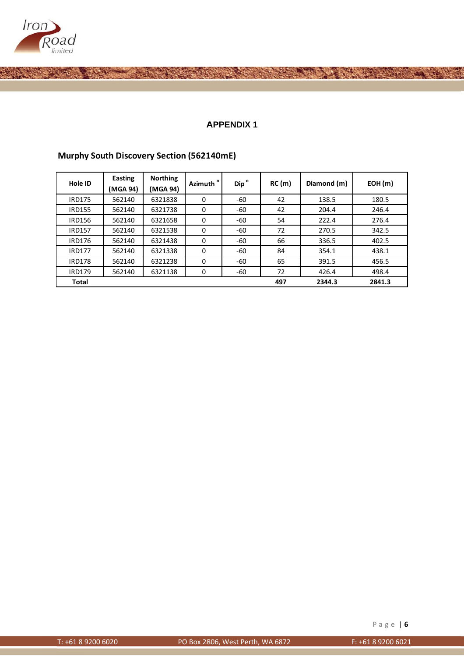

### **A APPENDIX 1**

| Hole ID       | Easting<br>(MGA 94) | <b>Northing</b><br>(MGA 94) | Azimuth <sup>o</sup> | Dip <sup>o</sup> | RC(m) | Diamond (m) | EOH(m) |
|---------------|---------------------|-----------------------------|----------------------|------------------|-------|-------------|--------|
| IRD175        | 562140              | 6321838                     | $\Omega$             | -60              | 42    | 138.5       | 180.5  |
| <b>IRD155</b> | 562140              | 6321738                     | 0                    | -60              | 42    | 204.4       | 246.4  |
| <b>IRD156</b> | 562140              | 6321658                     | 0                    | -60              | 54    | 222.4       | 276.4  |
| <b>IRD157</b> | 562140              | 6321538                     | 0                    | -60              | 72    | 270.5       | 342.5  |
| <b>IRD176</b> | 562140              | 6321438                     | $\Omega$             | -60              | 66    | 336.5       | 402.5  |
| <b>IRD177</b> | 562140              | 6321338                     | $\Omega$             | -60              | 84    | 354.1       | 438.1  |
| <b>IRD178</b> | 562140              | 6321238                     | 0                    | -60              | 65    | 391.5       | 456.5  |
| <b>IRD179</b> | 562140              | 6321138                     | $\Omega$             | -60              | 72    | 426.4       | 498.4  |
| <b>Total</b>  |                     |                             |                      |                  | 497   | 2344.3      | 2841.3 |

### **Murphy South Discovery Section (562140mE)**